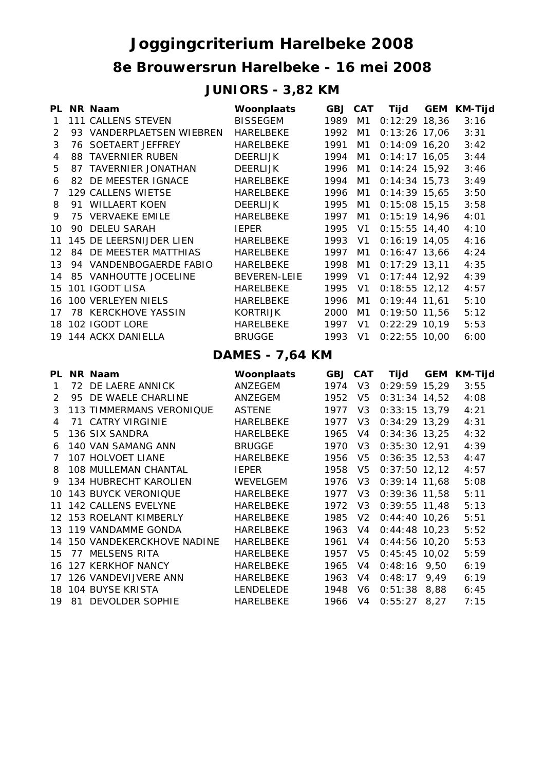## **8e Brouwersrun Harelbeke - 16 mei 2008 Joggingcriterium Harelbeke 2008**

## **JUNIORS - 3,82 KM**

|                        |    | PL NR Naam                    | Woonplaats          | <b>GBJ CAT</b> |                | Tijd            |      | <b>GEM KM-Tijd</b> |  |  |
|------------------------|----|-------------------------------|---------------------|----------------|----------------|-----------------|------|--------------------|--|--|
| $\mathbf{1}$           |    | 111 CALLENS STEVEN            | <b>BISSEGEM</b>     | 1989           | M1             | $0:12:29$ 18,36 |      | 3:16               |  |  |
| 2                      |    | 93 VANDERPLAETSEN WIEBREN     | <b>HARELBEKE</b>    | 1992           | M1             | $0:13:26$ 17,06 |      | 3:31               |  |  |
| 3                      |    | 76 SOETAERT JEFFREY           | HARELBEKE           | 1991           | M1             | $0:14:09$ 16,20 |      | 3:42               |  |  |
| 4                      |    | 88 TAVERNIER RUBEN            | <b>DEERLIJK</b>     | 1994           | M1             | $0:14:17$ 16,05 |      | 3:44               |  |  |
| 5                      |    | 87 TAVERNIER JONATHAN         | <b>DEERLIJK</b>     | 1996           | M1             | $0:14:24$ 15,92 |      | 3:46               |  |  |
| 6                      |    | 82 DE MEESTER IGNACE          | HARELBEKE           | 1994           | M1             | $0:14:34$ 15,73 |      | 3:49               |  |  |
| 7                      |    | 129 CALLENS WIETSE            | <b>HARELBEKE</b>    | 1996           | M1             | $0:14:39$ 15,65 |      | 3:50               |  |  |
| 8                      |    | 91 WILLAERT KOEN              | <b>DEERLIJK</b>     | 1995           | M <sub>1</sub> | $0:15:08$ 15,15 |      | 3:58               |  |  |
| 9                      |    | 75 VERVAEKE EMILE             | HARELBEKE           | 1997           | M1             | $0:15:19$ 14,96 |      | 4:01               |  |  |
| 10                     |    | 90 DELEU SARAH                | <b>IEPER</b>        | 1995           | V <sub>1</sub> | $0:15:55$ 14,40 |      | 4:10               |  |  |
| 11                     |    | 145 DE LEERSNIJDER LIEN       | HARELBEKE           | 1993           | V <sub>1</sub> | $0:16:19$ 14,05 |      | 4:16               |  |  |
| 12                     |    | <b>84 DE MEESTER MATTHIAS</b> | HARELBEKE           | 1997           | M1             | $0:16:47$ 13,66 |      | 4:24               |  |  |
| 13                     |    | 94 VANDENBOGAERDE FABIO       | HARELBEKE           | 1998           | M1             | $0:17:29$ 13,11 |      | 4:35               |  |  |
| 14                     |    | 85 VANHOUTTE JOCELINE         | <b>BEVEREN-LEIE</b> | 1999           | V <sub>1</sub> | $0:17:44$ 12,92 |      | 4:39               |  |  |
| 15                     |    | 101 IGODT LISA                | HARELBEKE           | 1995           | V <sub>1</sub> | $0:18:55$ 12,12 |      | 4:57               |  |  |
| 16                     |    | 100 VERLEYEN NIELS            | <b>HARELBEKE</b>    | 1996           | M1             | $0:19:44$ 11,61 |      | 5:10               |  |  |
| 17                     |    | 78 KERCKHOVE YASSIN           | <b>KORTRIJK</b>     | 2000           | M1             | $0:19:50$ 11,56 |      | 5:12               |  |  |
| 18                     |    | 102 IGODT LORE                | HARELBEKE           | 1997           | V <sub>1</sub> | $0:22:29$ 10,19 |      | 5:53               |  |  |
|                        |    | 19 144 ACKX DANIELLA          | <b>BRUGGE</b>       | 1993           | V <sub>1</sub> | $0:22:55$ 10,00 |      | 6:00               |  |  |
| <b>DAMES - 7,64 KM</b> |    |                               |                     |                |                |                 |      |                    |  |  |
|                        |    | PL NR Naam                    | Woonplaats          | <b>GBJ CAT</b> |                | Tijd            |      | <b>GEM KM-Tijd</b> |  |  |
| $\mathbf{1}$           |    | 72 DE LAERE ANNICK            | ANZEGEM             | 1974           | V3             | $0:29:59$ 15,29 |      | 3:55               |  |  |
| 2                      |    | 95 DE WAELE CHARLINE          | ANZEGEM             | 1952           | V <sub>5</sub> | $0:31:34$ 14,52 |      | 4:08               |  |  |
| 3                      |    | 113 TIMMERMANS VERONIQUE      | <b>ASTENE</b>       | 1977           | V <sub>3</sub> | $0:33:15$ 13,79 |      | 4:21               |  |  |
| 4                      |    | 71 CATRY VIRGINIE             | HARELBEKE           | 1977           | V <sub>3</sub> | $0:34:29$ 13,29 |      | 4:31               |  |  |
| 5                      |    | 136 SIX SANDRA                | HARELBEKE           | 1965           | V <sub>4</sub> | $0:34:36$ 13,25 |      | 4:32               |  |  |
| 6                      |    | 140 VAN SAMANG ANN            | <b>BRUGGE</b>       | 1970           | V <sub>3</sub> | $0:35:30$ 12,91 |      | 4:39               |  |  |
| 7                      |    | <b>107 HOLVOET LIANE</b>      | HARELBEKE           | 1956           | V <sub>5</sub> | $0:36:35$ 12,53 |      | 4:47               |  |  |
| 8                      |    | 108 MULLEMAN CHANTAL          | <b>IEPER</b>        | 1958           | V <sub>5</sub> | $0:37:50$ 12,12 |      | 4:57               |  |  |
| 9                      |    | 134 HUBRECHT KAROLIEN         | WEVELGEM            | 1976           | V <sub>3</sub> | $0:39:14$ 11,68 |      | 5:08               |  |  |
| 10                     |    | <b>143 BUYCK VERONIQUE</b>    | HARELBEKE           | 1977           | V <sub>3</sub> | $0:39:36$ 11,58 |      | 5:11               |  |  |
| 11                     |    | 142 CALLENS EVELYNE           | <b>HARELBEKE</b>    | 1972           | V <sub>3</sub> | $0:39:55$ 11,48 |      | 5:13               |  |  |
|                        |    | 12 153 ROELANT KIMBERLY       | <b>HARELBEKE</b>    | 1985           | V <sub>2</sub> | $0:44:40$ 10,26 |      | 5:51               |  |  |
|                        |    | 13 119 VANDAMME GONDA         | <b>HARELBEKE</b>    | 1963           | V4             | $0:44:48$ 10,23 |      | 5:52               |  |  |
|                        |    | 14 150 VANDEKERCKHOVE NADINE  | HARELBEKE           | 1961           | V4             | $0:44:56$ 10,20 |      | 5:53               |  |  |
| 15                     |    | 77 MELSENS RITA               | HARELBEKE           | 1957           | V <sub>5</sub> | $0:45:45$ 10,02 |      | 5:59               |  |  |
|                        |    | 16 127 KERKHOF NANCY          | HARELBEKE           | 1965           | V4             | $0:48:16$ 9,50  |      | 6:19               |  |  |
|                        |    | 17 126 VANDEVIJVERE ANN       | HARELBEKE           | 1963           | V4             | $0:48:17$ 9,49  |      | 6:19               |  |  |
|                        |    | 18 104 BUYSE KRISTA           | LENDELEDE           | 1948           | V6             | $0:51:38$ 8,88  |      | 6:45               |  |  |
| 19                     | 81 | DEVOLDER SOPHIE               | HARELBEKE           | 1966           | V <sub>4</sub> | 0:55:27         | 8,27 | 7:15               |  |  |